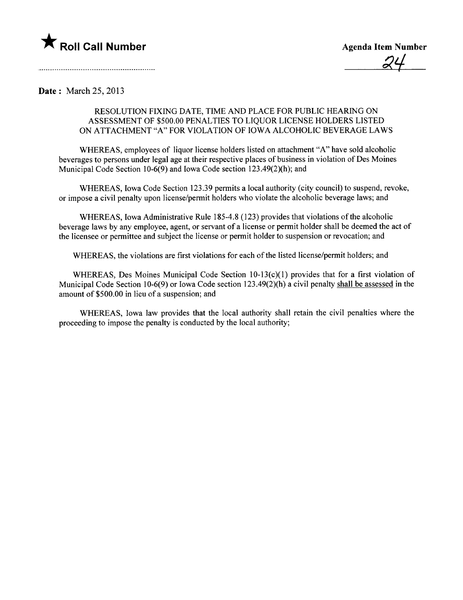

Date: March 25, 2013

## RESOLUTION FIXING DATE, TIME AND PLACE FOR PUBLIC HEARIG ON ASSESSMENT OF \$500.00 PENALTIES TO LIQUOR LICENSE HOLDERS LISTED ON ATTACHMENT "A" FOR VIOLATION OF IOWA ALCOHOLIC BEVERAGE LAWS

WHREAS, employees of liquor license holders listed on attachment "A" have sold alcoholic beverages to persons under legal age at their respective places of business in violation of Des Moines Municipal Code Section 10-6(9) and Iowa Code section 123.49(2)(h); and

WHEREAS, Iowa Code Section 123.39 permits a local authority (city council) to suspend, revoke, or impose a civil penalty upon license/permit holders who violate the alcoholic beverage laws; and

WHREAS, Iowa Administrative Rule 185-4.8 (123) provides that violations of the alcoholic beverage laws by any employee, agent, or servant of a license or permit holder shall be deemed the act of the licensee or permittee and subject the license or permit holder to suspension or revocation; and

WHEREAS, the violations are first violations for each of the listed license/permit holders; and

WHEREAS, Des Moines Municipal Code Section 10-13(c)(1) provides that for a first violation of Municipal Code Section 10-6(9) or Iowa Code section  $123.49(2)(h)$  a civil penalty shall be assessed in the amount of \$500.00 in lieu of a suspension; and

WHREAS, Iowa law provides that the local authority shall retain the civil penalties where the proceeding to impose the penalty is conducted by the local authority;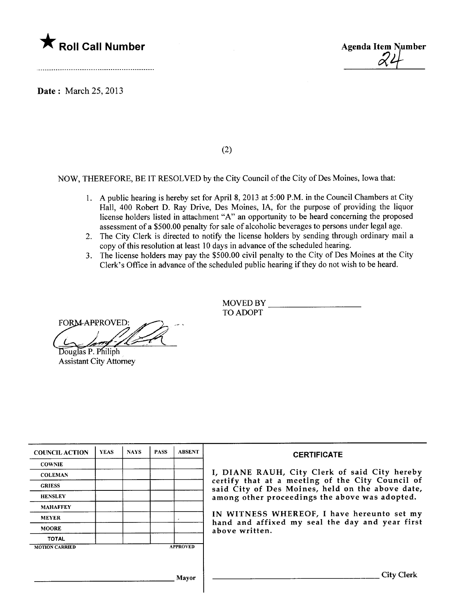

Date: March 25, 2013



(2)

NOW, THEREFORE, BE IT RESOLVED by the City Council of the City of Des Moines, Iowa that:

- 1. A public hearing is hereby set for April 8, 2013 at 5:00 P.M. in the Council Chambers at City Hall, 400 Robert D. Ray Drive, Des Moines, lA, for the purpose of providing the liquor license holders listed in attachment "A" an opportunity to be heard concerning the proposed assessment of a \$500.00 penalty for sale of alcoholic beverages to persons under legal age.
- 2. The City Clerk is directed to notify the license holders by sending through ordinary mail a copy of this resolution at least 10 days in advance of the scheduled hearing.
- 3. The license holders may pay the \$500.00 civil penalty to the City of Des Moines at the City Clerk's Office in advance of the scheduled public hearing if they do not wish to be heard.

TO ADOPT<br>
FORM APPROVED:<br>
Douglas P. Philiph<br>
Assistant City Attorney

Assistant City Attorney

MOVED BY

| <b>COUNCIL ACTION</b> | <b>YEAS</b> | <b>NAYS</b> | <b>PASS</b> | <b>ABSENT</b>   | <b>CERTIFICATE</b>                                                                                   |
|-----------------------|-------------|-------------|-------------|-----------------|------------------------------------------------------------------------------------------------------|
| <b>COWNIE</b>         |             |             |             |                 |                                                                                                      |
| <b>COLEMAN</b>        |             |             |             |                 | I, DIANE RAUH, City Clerk of said City hereby                                                        |
| <b>GRIESS</b>         |             |             |             |                 | certify that at a meeting of the City Council of<br>said City of Des Moines, held on the above date, |
| <b>HENSLEY</b>        |             |             |             |                 | among other proceedings the above was adopted.                                                       |
| <b>MAHAFFEY</b>       |             |             |             |                 |                                                                                                      |
| <b>MEYER</b>          |             |             |             |                 | IN WITNESS WHEREOF, I have hereunto set my<br>hand and affixed my seal the day and year first        |
| <b>MOORE</b>          |             |             |             |                 | above written.                                                                                       |
| <b>TOTAL</b>          |             |             |             |                 |                                                                                                      |
| <b>MOTION CARRIED</b> |             |             |             | <b>APPROVED</b> |                                                                                                      |
|                       |             |             |             |                 |                                                                                                      |
|                       |             |             |             | Mavor           | <b>City Clerk</b>                                                                                    |